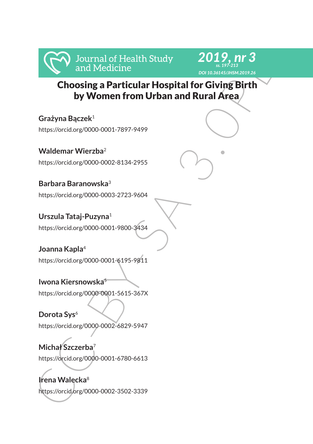



 Choosing a Particular Hospital for Giving Birth by Women from Urban and Rural Area

Manufactione<br>
Choosing a Particular Hospital for Giving Birth<br>
by Women from Urban and Rural Area<br>
Crazyna Baczek<sup>:</sup><br>
https://orcidorg/000-0001-7897-9499<br>
Waldemar Wierzba<sup>2</sup><br>
https://orcidorg/000-0001-7897-9499<br>
Waldemar **Grażyna Bączek**<sup>1</sup> https://orcid.org/0000-0001-7897-9499 **Waldemar Wierzba**<sup>2</sup> https://orcid.org/0000-0002-8134-2955 **Barbara Baranowska**<sup>3</sup> https://orcid.org/0000-0003-2723-9604 **Urszula Tataj-Puzyna**<sup>1</sup> https://orcid.org/0000-0001-9800-3434 **Joanna Kapla**<sup>4</sup> https://orcid.org/0000-0001-6195-9811 **Iwona Kiersnowska**<sup>5</sup> https://orcid.org/0000-0001-5615-367X **Dorota Sys**<sup>6</sup> https://orcid.org/0000-0002-6829-5947 **Michał Szczerba**<sup>7</sup> https://orcid.org/0000-0001-6780-6613 **Irena Walecka**<sup>8</sup>

https://orcid.org/0000-0002-3502-3339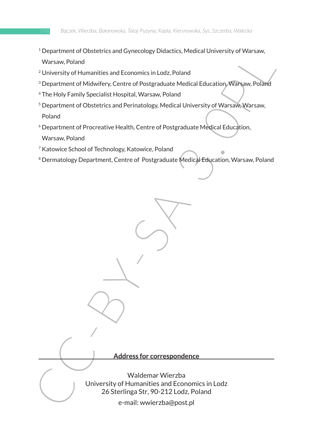- <sup>1</sup> Department of Obstetrics and Gynecology Didactics, Medical University of Warsaw, Warsaw, Poland
- <sup>2</sup> University of Humanities and Economics in Lodz, Poland
- 3 Department of Midwifery, Centre of Postgraduate Medical Education, Warsaw, Poland
- <sup>4</sup> The Holy Family Specialist Hospital, Warsaw, Poland
- <sup>5</sup> Department of Obstetrics and Perinatology, Medical University of Warsaw, Warsaw, Poland
- <sup>6</sup> Department of Procreative Health, Centre of Postgraduate Medical Education, Warsaw, Poland
- <sup>7</sup> Katowice School of Technology, Katowice, Poland
- <sup>8</sup> Dermatology Department, Centre of Postgraduate Medical Education, Warsaw, Poland

Expainment of Districts and Economics in Lod.<br>
Narsaw, Poland<br>
<sup>2</sup> University of Humanities and Economics in Lod., Poland<br>
<sup>2</sup> Department of Michigitery, Centre of Postgraduate Medicial Education, Warsaw. Poland<br>
<sup>2</sup> Depar **Address for correspondence** Waldemar Wierzba University of Humanities and Economics in Lodz 26 Sterlinga Str, 90-212 Lodz, Poland e-mail: wwierzba@post.pl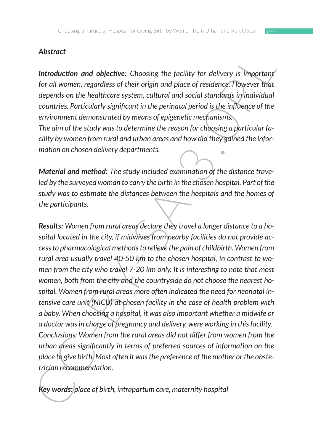# *Abstract*

**Introduction and objective:** Choosing the facility for delivery is important *for all women, regardless of their origin and place of residence. However that depends on the healthcare system, cultural and social standards in individual countries. Particularly significant in the perinatal period is the influence of the environment demonstrated by means of epigenetic mechanisms.* 

*The aim of the study was to determine the reason for choosing a particular facility by women from rural and urban areas and how did they gained the information on chosen delivery departments.*

*Material and method: The study included examination of the distance traveled by the surveyed woman to carry the birth in the chosen hospital. Part of the study was to estimate the distances between the hospitals and the homes of the participants.* 

**Introduction and objective:** Choosing the facility for delivery is important<br>
for all women, regardless of their origin and place of residence; However that<br>
depends on the healthcare system, cultural and social standard *Results: Women from rural areas declare they travel a longer distance to a hospital located in the city, if midwives from nearby facilities do not provide access to pharmacological methods to relieve the pain of childbirth. Women from rural area usually travel 40-50 km to the chosen hospital, in contrast to women from the city who travel 7-20 km only. It is interesting to note that most women, both from the city and the countryside do not choose the nearest hospital. Women from rural areas more often indicated the need for neonatal intensive care unit (NICU) at chosen facility in the case of health problem with a baby. When choosing a hospital, it was also important whether a midwife or a doctor was in charge of pregnancy and delivery, were working in this facility. Conclusions: Women from the rural areas did not differ from women from the urban areas significantly in terms of preferred sources of information on the place to give birth. Most often it was the preference of the mother or the obstetrician recommendation.*

*Key words: place of birth, intrapartum care, maternity hospital*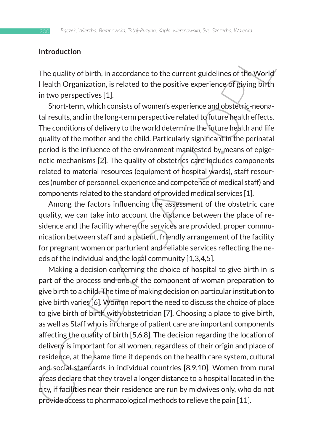#### **Introduction**

The quality of birth, in accordance to the current guidelines of the World Health Organization, is related to the positive experience of giving birth in two perspectives [1].

Short-term, which consists of women's experience and obstetric-neonatal results, and in the long-term perspective related to future health effects. The conditions of delivery to the world determine the future health and life quality of the mother and the child. Particularly significant in the perinatal period is the influence of the environment manifested by means of epigenetic mechanisms [2]. The quality of obstetrics care includes components related to material resources (equipment of hospital wards), staff resources (number of personnel, experience and competence of medical staff) and components related to the standard of provided medical services [1].

Among the factors influencing the assessment of the obstetric care quality, we can take into account the distance between the place of residence and the facility where the services are provided, proper communication between staff and a patient, friendly arrangement of the facility for pregnant women or parturient and reliable services reflecting the needs of the individual and the local community [1,3,4,5].

Introduction<br>The quality of birth, in accordance to the current guidelines of the World-<br>Health Organization, is related to the positive experience of Evings Dirfi<br>Health Organization, is related to the positive experience Making a decision concerning the choice of hospital to give birth in is part of the process and one of the component of woman preparation to give birth to a child. The time of making decision on particular institution to give birth varies [6]. Women report the need to discuss the choice of place to give birth of birth with obstetrician [7]. Choosing a place to give birth, as well as Staff who is in charge of patient care are important components affecting the quality of birth [5,6,8]. The decision regarding the location of delivery is important for all women, regardless of their origin and place of residence, at the same time it depends on the health care system, cultural and social standards in individual countries [8,9,10]. Women from rural areas declare that they travel a longer distance to a hospital located in the city, if facilities near their residence are run by midwives only, who do not provide access to pharmacological methods to relieve the pain [11].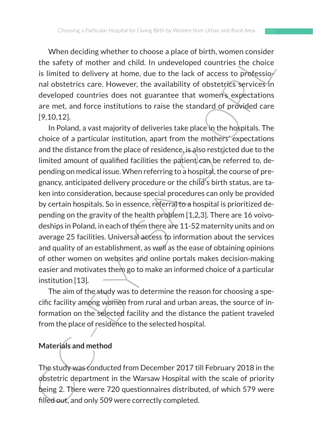When deciding whether to choose a place of birth, women consider the safety of mother and child. In undeveloped countries the choice is limited to delivery at home, due to the lack of access to professio $\ell$ nal obstetrics care. However, the availability of obstetrics services in developed countries does not guarantee that women's expectations are met, and force institutions to raise the standard of provided care [9,10,12].

where uccluding whence to choose a pare of the min, women considerate of mother and child. In undeveloped countries the choice is limited to delivery at home, due to the lack of access to professio/<br>nad obstetries care. Ho In Poland, a vast majority of deliveries take place in the hospitals. The choice of a particular institution, apart from the mothers' expectations and the distance from the place of residence, is also restricted due to the limited amount of qualified facilities the patient  $c$  an be referred to, depending on medical issue. When referring to a hospital, the course of pregnancy, anticipated delivery procedure or the child's birth status, are taken into consideration, because special procedures can only be provided by certain hospitals. So in essence, referral to a hospital is prioritized depending on the gravity of the health problem [1,2,3]. There are 16 voivodeships in Poland, in each of them there are 11-52 maternity units and on average 25 facilities. Universal access to information about the services and quality of an establishment, as well as the ease of obtaining opinions of other women on websites and online portals makes decision-making easier and motivates them go to make an informed choice of a particular institution [13].

The aim of the study was to determine the reason for choosing a specific facility among women from rural and urban areas, the source of information on the selected facility and the distance the patient traveled from the place of residence to the selected hospital.

### **Materials and method**

The study was conducted from December 2017 till February 2018 in the obstetric department in the Warsaw Hospital with the scale of priority being 2. There were 720 questionnaires distributed, of which 579 were filled out, and only 509 were correctly completed.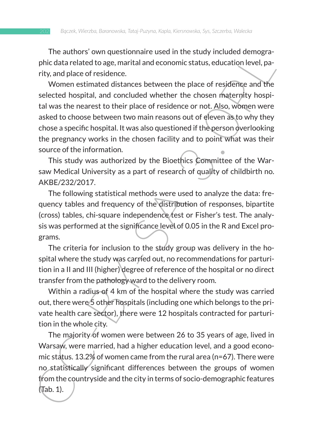The authors' own questionnaire used in the study included demographic data related to age, marital and economic status, education level, parity, and place of residence.

The auturos worreleased distance used in the sudary included uemeplare-<br>Thick data related to age, marital and economic status, education level, particly, and place of residence.<br>
Women estimated distances between the plac Women estimated distances between the place of residence and the selected hospital, and concluded whether the chosen maternity hospital was the nearest to their place of residence or not. Also, women were asked to choose between two main reasons out of eleven as to why they chose a specific hospital. It was also questioned if the person overlooking the pregnancy works in the chosen facility and to point what was their source of the information.

This study was authorized by the Bioethics Committee of the Warsaw Medical University as a part of research of quality of childbirth no. AKBE/232/2017.

The following statistical methods were used to analyze the data: frequency tables and frequency of the distribution of responses, bipartite (cross) tables, chi-square independence test or Fisher's test. The analysis was performed at the significance level of 0.05 in the R and Excel programs.

The criteria for inclusion to the study group was delivery in the hospital where the study was carried out, no recommendations for parturition in a II and III (higher) degree of reference of the hospital or no direct transfer from the pathology ward to the delivery room.

Within a radius of 4 km of the hospital where the study was carried out, there were 5 other hospitals (including one which belongs to the private health care sector), there were 12 hospitals contracted for parturition in the whole city.

The majority of women were between 26 to 35 years of age, lived in Warsaw, were married, had a higher education level, and a good economic status. 13.2% of women came from the rural area (n=67). There were no statistically significant differences between the groups of women from the countryside and the city in terms of socio-demographic features (Tab. 1).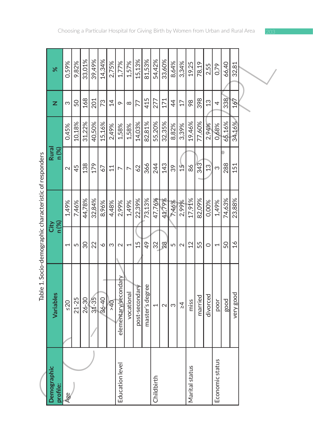|                                                         | $\aleph$                | 0,59%                    | 9,82%     | 33,01% | 39,49%    | 14,34%    | 2,75%          | 1,77%                | 1,57%          | 15,13%         | 81,53%          | 54,42%     | 33,60% | 8,64%          | 3,34%                   | 19,25          | 78,19   | 2,55           | 0,79                     | 66,40  | 32,81         |  |  |
|---------------------------------------------------------|-------------------------|--------------------------|-----------|--------|-----------|-----------|----------------|----------------------|----------------|----------------|-----------------|------------|--------|----------------|-------------------------|----------------|---------|----------------|--------------------------|--------|---------------|--|--|
|                                                         | z                       | S                        | 50        | 168    | 201       | 73        | $\overline{4}$ | $\circ$              | $\infty$       | 77             | 415             | 277        | 171    | $\overline{4}$ | 17                      | 98             | 398     | 13             | 4                        | 338    | 167           |  |  |
|                                                         |                         | 0,45%                    | 10,18%    | 31,22% | 40,50%    | 15,16%    | 2,49%          | 1,58%                | 1,58%          | 14,03%         | 82,81%          | 55,20%     | 32,35% | 8,82%          | 3,39%                   | 19,46%         | 77,60%  | 2,94%          | 0,68%                    | 65,16% | 34,16%        |  |  |
| Table 1. Socio-demographic characteristic of responders | Rural<br>n (%)          | $\sim$                   | 45        | 138    | 179       | 67        | $\Xi$          | $\overline{ }$       | $\overline{ }$ | 62             | 366             | 244        | 143    | 39             | 57                      | 86             | 343     | $\mathfrak{L}$ | က                        | 288    | 151           |  |  |
|                                                         | n (%)<br>City           | 1,49%                    | 7,46%     | 44,78% | 32,84%    | 8,96%     | 4,48%          | 2,99%                | 1,49%          | 22,39%         | 73,13%          | 47,76%     | 41,79% | 7,46%          | 2,99%                   | 17,91%         | 82,09%  | 0,00%          | 1,49%                    | 74,63% | 23,88%        |  |  |
|                                                         |                         | $\overline{\phantom{0}}$ | 5         | 30     | 22        | ∘         | S              | $\sim$               |                | 15             | 49              | 32         | 28     | 5              | $\overline{\mathsf{C}}$ | $\overline{2}$ | 55      | $\circ$        | $\overline{\phantom{0}}$ | 50     | $\frac{6}{1}$ |  |  |
|                                                         | Variables               | $\leq$ 20                | $21 - 25$ | 26-30  | $31 - 35$ | $36 - 40$ | 940            | elementary/secondary | vocational     | post-secondary | master's degree | 1          | $\sim$ | S              | Σί                      | miss           | narried | divorced       | poor                     | good   | very good     |  |  |
|                                                         | Demographic<br>profile: | Age                      |           |        |           |           |                | Education level      |                |                |                 | Childbirth |        |                |                         | Marital status |         |                | Economic status          |        |               |  |  |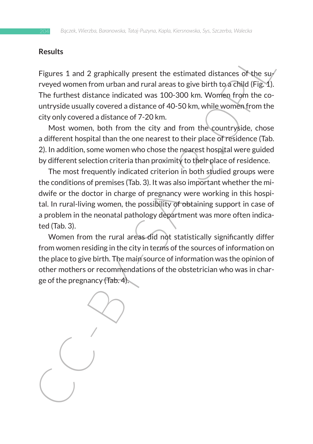#### **Results**

Figures 1 and 2 graphically present the estimated distances of the surveyed women from urban and rural areas to give birth to a child (Fig. 1). The furthest distance indicated was 100-300 km. Women from the countryside usually covered a distance of 40-50 km, while women from the city only covered a distance of 7-20 km.

Most women, both from the city and from the countryside, chose a different hospital than the one nearest to their place of residence (Tab. 2). In addition, some women who chose the nearest hospital were guided by different selection criteria than proximity to their place of residence.

**Figures 1** and 2 graphically present the estimated distances of the surface of the surface of the surface of muchain and rural areas to give birth to a Grind of Fig. 1. The furthest distance indicated was 100-300 km. Wom The most frequently indicated criterion in both studied groups were the conditions of premises (Tab. 3). It was also important whether the midwife or the doctor in charge of pregnancy were working in this hospital. In rural-living women, the possibility of obtaining support in case of a problem in the neonatal pathology department was more often indicated (Tab. 3).

Women from the rural areas did not statistically significantly differ from women residing in the city in terms of the sources of information on the place to give birth. The main source of information was the opinion of other mothers or recommendations of the obstetrician who was in charge of the pregnancy (Tab. 4).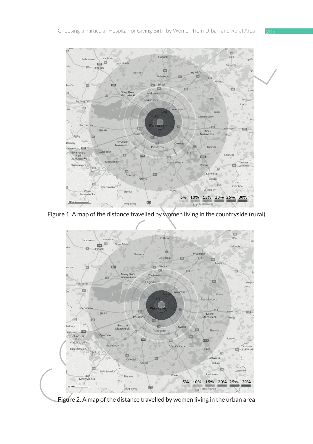

Figure 1. A map of the distance travelled by women living in the countryside (rural) **Figure 1. A map of the distance travelled by women living in the countryside (rural)**



Figure 2. A map of the distance travelled by women living in the urban area **Figure 2. A map of the distance travelled by women living in the urban area**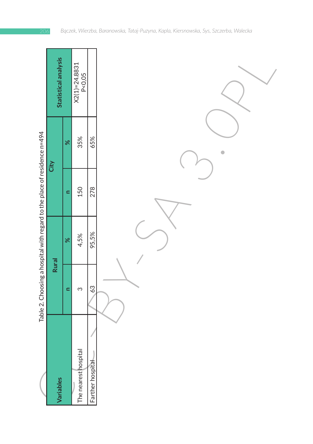|                                                                          | Statistical analysis |          | $X2(1)=24.8831$<br>P<0,05 |                  |           |
|--------------------------------------------------------------------------|----------------------|----------|---------------------------|------------------|-----------|
|                                                                          | City                 | $\infty$ | 35%                       | 65%              | $\bullet$ |
|                                                                          |                      | $\equiv$ | 150                       | 278              |           |
|                                                                          |                      | $\infty$ | 4,5%                      | 95,5%            |           |
| Table 2. Choosing a hospital with regard to the place of residence n=494 | <b>Rural</b>         | $\equiv$ | S                         | 63               |           |
|                                                                          | Variables            |          | The nearest hospital      | Farther hospital |           |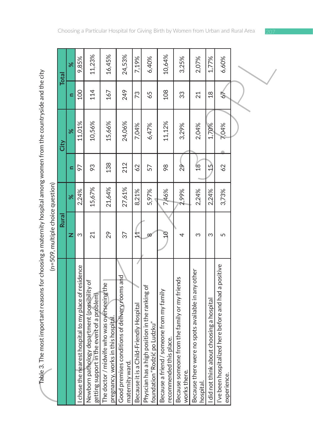| Table 3. The most important reasons for choosing a maternity hospital among women from the countryside and the city | (n=509, multiple choice question) |          |                |        |                |              |
|---------------------------------------------------------------------------------------------------------------------|-----------------------------------|----------|----------------|--------|----------------|--------------|
|                                                                                                                     | Rural                             |          |                | City   |                | <b>Total</b> |
|                                                                                                                     | z                                 | $\aleph$ | Ξ              | ৯ৎ     | Ξ              | ৯ৎ           |
| chose the rearest hospital to my place of residence                                                                 | Σ                                 | 2,24%    | 56             | 11,01% | <b>OOT</b>     | 9,85%        |
| Newborn pathology department (possibility of<br>getting support in the event of a problem)                          | 21                                | 15,67%   | 93             | 10,56% | 114            | 11,23%       |
| The doctor / midwife who was overseeing the<br>pregnancy, works in this hospital.                                   | 29                                | 21,64%   | 138            | 15,66% | 167            | 16,45%       |
| Good premises conditions of delivery rooms and<br>maternity ward.                                                   | 37                                | 27,61%   | 212            | 24,06% | 249            | 24,53%       |
| Because it is a Child-Friendly Hospital                                                                             | 4                                 | 8,21%    | 62             | 7,04%  | 73             | 7,19%        |
| Physcian has a high position in the ranking of<br>foundation "Rodzić po Ludzku"                                     | $\infty$                          | 5,97%    | 57             | 6,47%  | 65             | 6,40%        |
| someone from my family<br>is place.<br>Because a friend /<br>recommended thi                                        | $\mathcal{C}$                     | 7,46%    | 98             | 11,12% | 108            | 10,64%       |
| Because someone from the family or my friends<br>works there.                                                       | 4                                 | 2,99%    | $\frac{9}{2}$  | 3,29%  | 33             | 3,25%        |
| Because there were no spots available in any other<br>hospital.                                                     | က                                 | 2,24%    | $\frac{8}{18}$ | 2,04%  | 21             | 2,07%        |
| did not think about choosing a hospital                                                                             | S                                 | 2,24%    | $\frac{5}{3}$  | 1,70%  | $\frac{8}{18}$ | 1,77%        |
| ized here before and had a positive<br>I've been hospital<br>experience.                                            | 5                                 | 3,73%    | 62             | 7,04%  | 67             | 6,60%        |
|                                                                                                                     |                                   |          |                |        |                |              |
|                                                                                                                     |                                   |          |                |        |                |              |
|                                                                                                                     |                                   |          |                |        |                |              |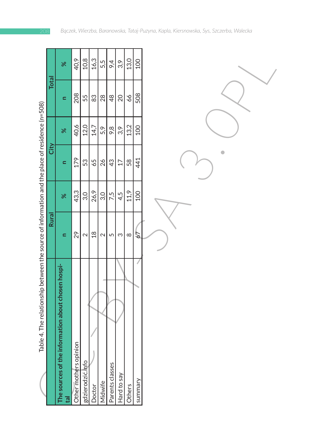|                                                                                                |              | ৯ৎ                                                               | 40,9                  | 10,8             | 16,3           | 5,5     | 9,4             | 3,9             | 13,0     | <b>00T</b> |  |
|------------------------------------------------------------------------------------------------|--------------|------------------------------------------------------------------|-----------------------|------------------|----------------|---------|-----------------|-----------------|----------|------------|--|
|                                                                                                | <b>Total</b> | $\blacksquare$                                                   | 208                   | 55               | 83             | 28      | $\frac{48}{5}$  | 20              | 99       | 508        |  |
|                                                                                                |              | $\aleph$                                                         | 40,6                  | 12,0             | 14,7           | 5,9     | 9,8             | 3,9             | 13,2     | 100        |  |
|                                                                                                | City         | $\blacksquare$                                                   | 179                   | 53               | 65             | 26      | 43              | $\overline{17}$ | 58       | 441        |  |
|                                                                                                |              | $\aleph$                                                         | 43,3                  | 3,0              | 26,9           | 3,0     | 7,5             | 4,5             | 11,9     | 100        |  |
|                                                                                                | <b>Rural</b> | $\blacksquare$                                                   | 29                    | $\sim$           | $\frac{8}{18}$ | $\sim$  | 5               | S               | $\infty$ | 2          |  |
| Table 4. The relationship between the source of information and the place of residence (n=508) |              | The sources of the information about chosen hospi-<br><b>Tal</b> | Other mothers opinion | gdzierodzić.info | Doctor         | Midwife | Parents classes | Hard to say     | Others   | summary    |  |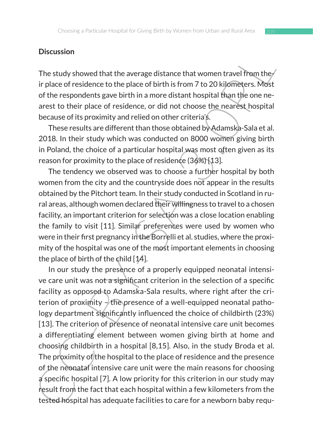#### **Discussion**

The study showed that the average distance that women travel from the  $\ell$ ir place of residence to the place of birth is from 7 to 20 kilometers. Most of the respondents gave birth in a more distant hospital than the one nearest to their place of residence, or did not choose the nearest hospital because of its proximity and relied on other criteria's.

These results are different than those obtained by Adamska-Sala et al. 2018. In their study which was conducted on 8000 women giving birth in Poland, the choice of a particular hospital was most often given as its reason for proximity to the place of residence (36%) [13].

The tendency we observed was to choose a further hospital by both women from the city and the countryside does not appear in the results obtained by the Pitchort team. In their study conducted in Scotland in rural areas, although women declared their willingness to travel to a chosen facility, an important criterion for selection was a close location enabling the family to visit [11]. Similar preferences were used by women who were in their first pregnancy in the Borrelli et al. studies, where the proximity of the hospital was one of the most important elements in choosing the place of birth of the child [14].

Discussion<br>The study showed that the average distance that women travel from the<br>ir place of residence to the place of birth is more distant hospital frame the one<br>arest to their place of residence, or did not choose the n In our study the presence of a properly equipped neonatal intensive care unit was not a significant criterion in the selection of a specific facility as opposed to Adamska-Sala results, where right after the criterion of proximity  $-\sqrt{\pi}$  he presence of a well-equipped neonatal pathology department significantly influenced the choice of childbirth (23%) [13]. The criterion of presence of neonatal intensive care unit becomes a differentiating element between women giving birth at home and choosing childbirth in a hospital [8,15]. Also, in the study Broda et al. The proximity of the hospital to the place of residence and the presence of the neonatal intensive care unit were the main reasons for choosing a specific hospital [7]. A low priority for this criterion in our study may result from the fact that each hospital within a few kilometers from the tested hospital has adequate facilities to care for a newborn baby requ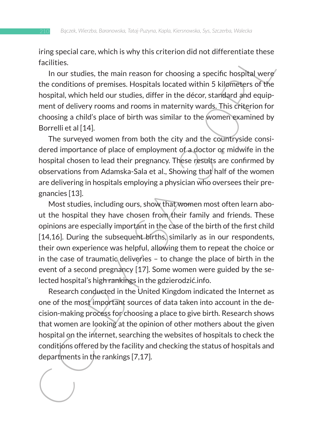iring special care, which is why this criterion did not differentiate these facilities.

In our studies, the main reason for choosing a specific hospital were the conditions of premises. Hospitals located within 5 kilometers of the hospital, which held our studies, differ in the décor, standard and equipment of delivery rooms and rooms in maternity wards. This criterion for choosing a child's place of birth was similar to the women examined by Borrelli et al [14].

The surveyed women from both the city and the countryside considered importance of place of employment of a doctor or midwife in the hospital chosen to lead their pregnancy. These results are confirmed by observations from Adamska-Sala et al., Showing that half of the women are delivering in hospitals employing a physician who oversees their pregnancies [13].

Fractrices.<br>
In our studies, the main reason for choosing a specific hospital were<br>
fractilities.<br>
In our studies, the main reason for choosing a specific hospital were<br>
the conditions of premises. Hospitals located within Most studies, including ours, show that women most often learn about the hospital they have chosen from their family and friends. These opinions are especially important in the case of the birth of the first child [14,16]. During the subsequent births, similarly as in our respondents, their own experience was helpful, allowing them to repeat the choice or in the case of traumatic deliveries – to change the place of birth in the event of a second pregnancy [17]. Some women were guided by the selected hospital's high rankings in the gdzierodzić.info.

Research conducted in the United Kingdom indicated the Internet as one of the most important sources of data taken into account in the decision-making process for choosing a place to give birth. Research shows that women are looking at the opinion of other mothers about the given hospital on the internet, searching the websites of hospitals to check the conditions offered by the facility and checking the status of hospitals and departments in the rankings [7,17].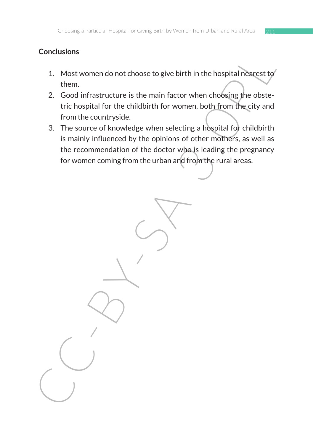## **Conclusions**

- 1. Most women do not choose to give birth in the hospital nearest to them.
- 2. Good infrastructure is the main factor when choosing the obstetric hospital for the childbirth for women, both from the city and from the countryside.
- Concusions<br>
1. Most women do not choose to give birth in the hospital nearest of<br>
them.<br>
2. Good infrastructure is the main factor when choosing the obste-<br>
tric hospital for the childbirth for women, both from the city an 3. The source of knowledge when selecting a hospital for childbirth is mainly influenced by the opinions of other mothers, as well as the recommendation of the doctor who is leading the pregnancy for women coming from the urban and from the rural areas.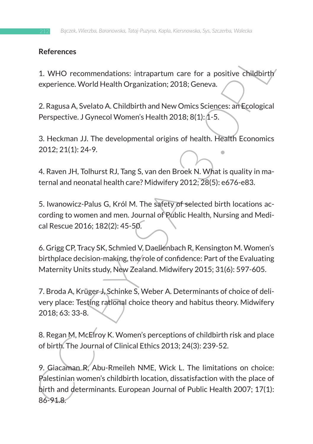### **References**

1. WHO recommendations: intrapartum care for a positive childbirth experience. World Health Organization; 2018; Geneva.

2. Ragusa A, Svelato A. Childbirth and New Omics Sciences: an Ecological Perspective. J Gynecol Women's Health 2018; 8(1): 1-5.

3. Heckman JJ. The developmental origins of health. Health Economics 2012; 21(1): 24-9.

4. Raven JH, Tolhurst RJ, Tang S, van den Broek N. What is quality in maternal and neonatal health care? Midwifery 2012; 28(5): e676-e83.

5. Iwanowicz-Palus G, Król M. The safety of selected birth locations according to women and men. Journal of Public Health, Nursing and Medical Rescue 2016; 182(2): 45-50.

6. Grigg CP, Tracy SK, Schmied V, Daellenbach R, Kensington M. Women's birthplace decision-making, the role of confidence: Part of the Evaluating Maternity Units study, New Zealand. Midwifery 2015; 31(6): 597-605.

7. Broda A, Krüger J, Schinke S, Weber A. Determinants of choice of delivery place: Testing rational choice theory and habitus theory. Midwifery 2018; 63: 33-8.

8. Regan M, McElroy K. Women's perceptions of childbirth risk and place of birth. The Journal of Clinical Ethics 2013; 24(3): 239-52.

References<br>
1. WHO recommendations: intrapartum care for a positive childbirth<br>
experience. World Health Organization; 2018; Geneva.<br>
2. Ragusa A, Svelato A. Childbirth and New Omics Sciences: an Ecological<br>
Perspective. J 9. Giacaman R, Abu-Rmeileh NME, Wick L. The limitations on choice: Palestinian women's childbirth location, dissatisfaction with the place of birth and determinants. European Journal of Public Health 2007; 17(1): 86-91.8.